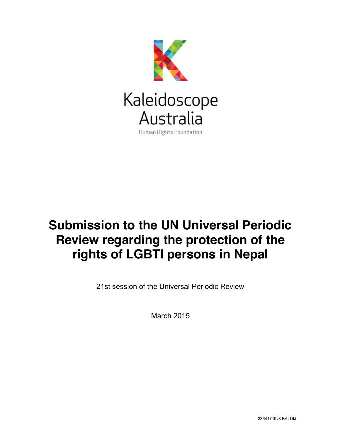

# **Submission to the UN Universal Periodic Review regarding the protection of the rights of LGBTI persons in Nepal**

21st session of the Universal Periodic Review

March 2015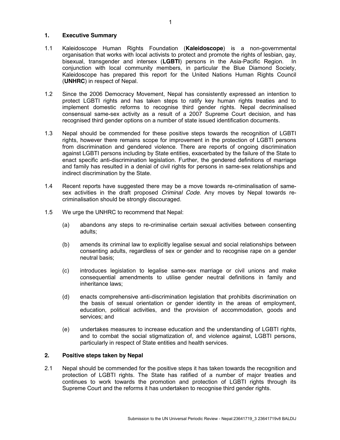## **1. Executive Summary**

- 1.1 Kaleidoscope Human Rights Foundation (**Kaleidoscope**) is a non-governmental organisation that works with local activists to protect and promote the rights of lesbian, gay, bisexual, transgender and intersex (**LGBTI**) persons in the Asia-Pacific Region. In conjunction with local community members, in particular the Blue Diamond Society, Kaleidoscope has prepared this report for the United Nations Human Rights Council (**UNHRC**) in respect of Nepal.
- 1.2 Since the 2006 Democracy Movement, Nepal has consistently expressed an intention to protect LGBTI rights and has taken steps to ratify key human rights treaties and to implement domestic reforms to recognise third gender rights. Nepal decriminalised consensual same-sex activity as a result of a 2007 Supreme Court decision, and has recognised third gender options on a number of state issued identification documents.
- 1.3 Nepal should be commended for these positive steps towards the recognition of LGBTI rights, however there remains scope for improvement in the protection of LGBTI persons from discrimination and gendered violence. There are reports of ongoing discrimination against LGBTI persons including by State entities, exacerbated by the failure of the State to enact specific anti-discrimination legislation. Further, the gendered definitions of marriage and family has resulted in a denial of civil rights for persons in same-sex relationships and indirect discrimination by the State.
- 1.4 Recent reports have suggested there may be a move towards re-criminalisation of samesex activities in the draft proposed *Criminal Code*. Any moves by Nepal towards recriminalisation should be strongly discouraged.
- 1.5 We urge the UNHRC to recommend that Nepal:
	- (a) abandons any steps to re-criminalise certain sexual activities between consenting adults;
	- (b) amends its criminal law to explicitly legalise sexual and social relationships between consenting adults, regardless of sex or gender and to recognise rape on a gender neutral basis;
	- (c) introduces legislation to legalise same-sex marriage or civil unions and make consequential amendments to utilise gender neutral definitions in family and inheritance laws;
	- (d) enacts comprehensive anti-discrimination legislation that prohibits discrimination on the basis of sexual orientation or gender identity in the areas of employment, education, political activities, and the provision of accommodation, goods and services; and
	- (e) undertakes measures to increase education and the understanding of LGBTI rights, and to combat the social stigmatization of, and violence against, LGBTI persons, particularly in respect of State entities and health services.

## **2. Positive steps taken by Nepal**

2.1 Nepal should be commended for the positive steps it has taken towards the recognition and protection of LGBTI rights. The State has ratified of a number of major treaties and continues to work towards the promotion and protection of LGBTI rights through its Supreme Court and the reforms it has undertaken to recognise third gender rights.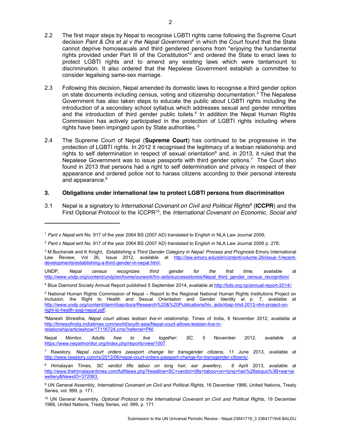2.3 Following this decision, Nepal amended its domestic laws to recognise a third gender option on state documents including census, voting and citizenship documentation.<sup>3</sup> The Nepalese Government has also taken steps to educate the public about LGBTI rights including the introduction of a secondary school syllabus which addresses sexual and gender minorities and the introduction of third gender public toilets. <sup>4</sup> In addition the Nepal Human Rights Commission has actively participated in the protection of LGBTI rights including where rights have been impinged upon by State authorities.<sup>5</sup>

2.4 The Supreme Court of Nepal (**Supreme Court**) has continued to be progressive in the protection of LGBTI rights. In 2012 it recognised the legitimacy of a lesbian relationship and rights to self determination in respect of sexual orientation<sup>6</sup> and, in 2013, it ruled that the Nepalese Government was to issue passports with third gender options.<sup>7</sup> The Court also found in 2013 that persons had a right to self determination and privacy in respect of their appearance and ordered police not to harass citizens according to their personal interests and appearance.<sup>8</sup>

## **3. Obligations under international law to protect LGBTI persons from discrimination**

3.1 Nepal is a signatory to *International Covenant on Civil and Political Rights*<sup>9</sup> (**ICCPR**) and the First Optional Protocol to the ICCPR10, the *International Covenant on Economic, Social and* 

<sup>1</sup> *Pant v Nepal* writ No. 917 of the year 2064 BS (2007 AD) translated to English in NLA Law Journal 2008;

<sup>2</sup> *Pant v Nepal* writ No. 917 of the year 2064 BS (2007 AD) translated to English in NLA Law Journal 2008 p. 278;

<sup>3</sup> M Bochenek and K Knight, *Establishing a Third Gender Category in Nepal: Process and Prognosis* Emory International Law Review, Vol 26, Issue 2012, available at http://law.emory.edu/eilr/content/volume-26/issue-1/recentdevelopments/establishing-a-third-gender-in-nepal.html;

UNDP, *Nepal census recognizes third gender for the first time,* available at http://www.undp.org/content/undp/en/home/ourwork/hiv-aids/successstories/Nepal\_third\_gender\_census\_recognition/.

<sup>4</sup> Blue Diamond Society Annual Report published 5 September 2014, available at http://bds.org.np/annual-report-2014/;

<sup>5</sup> National Human Rights Commission of Nepal – Report to the Regional National Human Rights Institutions Project on Inclusion, the Right to Health and Sexual Orientation and Gender Identity at p. 7, available at http://www.undp.org/content/dam/rbap/docs/Research%20&%20Publications/hiv\_aids/rbap-hhd-2013-nhri-project-onright-to-health-sogi-nepal.pdf;

<sup>6</sup>Manesh Shrestha, *Nepal court allows lesbian live-in relationship,* Times of India, 6 November 2012, available at http://timesofindia.indiatimes.com/world/south-asia/Nepal-court-allows-lesbian-live-inrelationship/articleshow/17116724.cms?referral=PM;

Nepal Monitor, *Adults free to live together: SC*, 5 November 2012, available at https://www.nepalmonitor.org/index.php/reports/view/1007.

<sup>7</sup> Rawstory, *Nepal court orders passport change for transgender citizens*, 11 June 2013, available at http://www.rawstory.com/rs/2013/06/nepal-court-orders-passport-change-for-transgender-citizens/.

<sup>8</sup> Himalayan Times, *SC verdict lifts taboo on long hair, ear jewellery*, 8 April 2013, available at http://www.thehimalayantimes.com/fullNews.php?headline=SC+verdict+lifts+taboo+on+long+hair%26sbquo%3B+ear+je wellery&NewsID=372083.

<sup>9</sup> UN General Assembly, *International Covenant on Civil and Political Rights*, 16 December 1966, United Nations, Treaty Series, vol. 999, p. 171.

<sup>10</sup> UN General Assembly, *Optional Protocol to the International Covenant on Civil and Political Rights*, 19 December 1966, United Nations, Treaty Series, vol. 999, p. 171.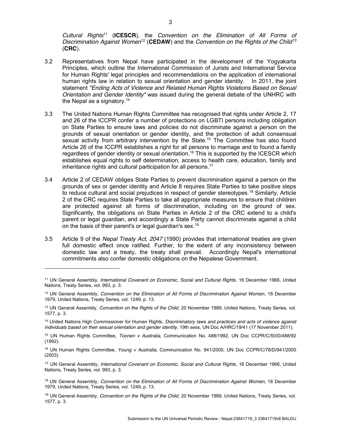*Cultural Rights*<sup>11</sup> (**ICESCR**), the *Convention on the Elimination of All Forms of Discrimination Against Women*<sup>12</sup> (**CEDAW**) and the *Convention on the Rights of the Child<sup>13</sup>* (**CRC**).

- 3.2 Representatives from Nepal have participated in the development of the Yogyakarta Principles, which outline the International Commission of Jurists and International Service for Human Rights' legal principles and recommendations on the application of international human rights law in relation to sexual orientation and gender identity. In 2011, the joint statement *"Ending Acts of Violence and Related Human Rights Violations Based on Sexual Orientation and Gender Identity"* was issued during the general debate of the UNHRC with the Nepal as a signatory.<sup>14</sup>
- 3.3 The United Nations Human Rights Committee has recognised that rights under Article 2, 17 and 26 of the ICCPR confer a number of protections on LGBTI persons including obligation on State Parties to ensure laws and policies do not discriminate against a person on the grounds of sexual orientation or gender identity, and the protection of adult consensual sexual activity from arbitrary intervention by the State.<sup>15</sup> The Committee has also found Article 26 of the ICCPR establishes a right for all persons to marriage and to found a family regardless of gender identity or sexual orientation.<sup>16</sup> This is supported by the ICESCR which establishes equal rights to self determination, access to health care, education, family and inheritance rights and cultural participation for all persons.<sup>17</sup>
- 3.4 Article 2 of CEDAW obliges State Parties to prevent discrimination against a person on the grounds of sex or gender identity and Article 8 requires State Parties to take positive steps to reduce cultural and social prejudices in respect of gender stereotypes.<sup>18</sup> Similarly, Article 2 of the CRC requires State Parties to take all appropriate measures to ensure that children are protected against all forms of discrimination, including on the ground of sex. Significantly, the obligations on State Parties in Article 2 of the CRC extend to a child's parent or legal guardian, and accordingly a State Party cannot discriminate against a child on the basis of their parent's or legal guardian's sex.<sup>19</sup>
- 3.5 Article 9 of the *Nepal Treaty Act, 2047* (1990) provides that international treaties are given full domestic effect once ratified. Further, to the extent of any inconsistency between domestic law and a treaty, the treaty shall prevail. Accordingly Nepal's international commitments also confer domestic obligations on the Nepalese Government.

<sup>11</sup> UN General Assembly, *International Covenant on Economic, Social and Cultural Rights*, 16 December 1966, United Nations, Treaty Series, vol. 993, p. 3.

<sup>12</sup> UN General Assembly, *Convention on the Elimination of All Forms of Discrimination Against Women*, 18 December 1979, United Nations, Treaty Series, vol. 1249, p. 13.

<sup>13</sup> UN General Assembly, *Convention on the Rights of the Child*, 20 November 1989, United Nations, Treaty Series, vol. 1577, p. 3.

<sup>14</sup> United Nations High Commissioner for Human Rights, *Discriminatory laws and practices and acts of violence against individuals based on their sexual orientation and gender identity*, 19th sess, UN Doc A/HRC/19/41 (17 November 2011).

<sup>15</sup> UN Human Rights Committee, *Toonen v Australia*, Communication No. 488/1992, UN Doc CCPR/C/50/D/488/92 (1992).

<sup>16</sup> UN Human Rights Committee, *Young v Australia*, Communication No. 941/2000, UN Doc CCPR/C/78/D/941/2000 (2003)

<sup>17</sup> UN General Assembly, *International Covenant on Economic, Social and Cultural Rights*, 16 December 1966, United Nations, Treaty Series, vol. 993, p. 3.

<sup>18</sup> UN General Assembly, *Convention on the Elimination of All Forms of Discrimination Against Women*, 18 December 1979, United Nations, Treaty Series, vol. 1249, p. 13.

<sup>19</sup> UN General Assembly, *Convention on the Rights of the Child*, 20 November 1989, United Nations, Treaty Series, vol. 1577, p. 3.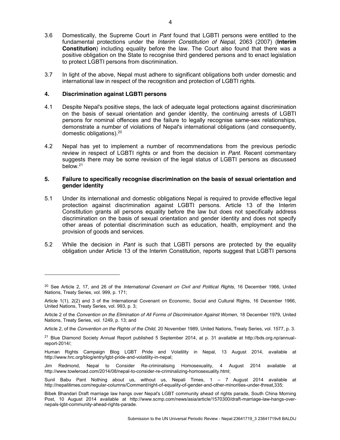- 3.6 Domestically, the Supreme Court in *Pant* found that LGBTI persons were entitled to the fundamental protections under the *Interim Constitution of Nepal,* 2063 (2007) (**Interim Constitution**) including equality before the law. The Court also found that there was a positive obligation on the State to recognise third gendered persons and to enact legislation to protect LGBTI persons from discrimination.
- 3.7 In light of the above, Nepal must adhere to significant obligations both under domestic and international law in respect of the recognition and protection of LGBTI rights.

## **4. Discrimination against LGBTI persons**

 $\overline{a}$ 

- 4.1 Despite Nepal's positive steps, the lack of adequate legal protections against discrimination on the basis of sexual orientation and gender identity, the continuing arrests of LGBTI persons for nominal offences and the failure to legally recognise same-sex relationships, demonstrate a number of violations of Nepal's international obligations (and consequently, domestic obligations).<sup>20</sup>
- 4.2 Nepal has yet to implement a number of recommendations from the previous periodic review in respect of LGBTI rights or and from the decision in *Pant*. Recent commentary suggests there may be some revision of the legal status of LGBTI persons as discussed below.21

## **5. Failure to specifically recognise discrimination on the basis of sexual orientation and gender identity**

- 5.1 Under its international and domestic obligations Nepal is required to provide effective legal protection against discrimination against LGBTI persons. Article 13 of the Interim Constitution grants all persons equality before the law but does not specifically address discrimination on the basis of sexual orientation and gender identity and does not specify other areas of potential discrimination such as education, health, employment and the provision of goods and services.
- 5.2 While the decision in *Pant* is such that LGBTI persons are protected by the equality obligation under Article 13 of the Interim Constitution, reports suggest that LGBTI persons

<sup>20</sup> See Article 2, 17, and 26 of the *International Covenant on Civil and Political Rights*, 16 December 1966, United Nations, Treaty Series, vol. 999, p. 171;

Article 1(1), 2(2) and 3 of the International Covenant on Economic, Social and Cultural Rights, 16 December 1966, United Nations, Treaty Series, vol. 993, p. 3;

Article 2 of the *Convention on the Elimination of All Forms of Discrimination Against Women*, 18 December 1979, United Nations, Treaty Series, vol. 1249, p. 13; and

Article 2, of the *Convention on the Rights of the Child*, 20 November 1989, United Nations, Treaty Series, vol. 1577, p. 3.

<sup>21</sup> Blue Diamond Society Annual Report published 5 September 2014, at p. 31 available at http://bds.org.np/annualreport-2014/;

Human Rights Campaign Blog LGBT Pride and Volatility in Nepal, 13 August 2014, available at http://www.hrc.org/blog/entry/lgbt-pride-and-volatility-in-nepal;

Jim Redmond, Nepal to Consider Re-criminalising Homosexuality, 4 August 2014 available at http://www.towleroad.com/2014/08/nepal-to-consider-re-criminalizing-homosexuality.html;

Sunil Babu Pant Nothing about us, without us, Nepali Times, 1 – 7 August 2014 available at http://nepalitimes.com/regular-columns/Comment/right-of-equality-of-gender-and-other-minorities-under-threat,335;

Bibek Bhandari Draft marriage law hangs over Nepal's LGBT community ahead of rights parade, South China Morning Post, 10 August 2014 available at http://www.scmp.com/news/asia/article/1570300/draft-marriage-law-hangs-overnepals-lgbt-community-ahead-rights-parade.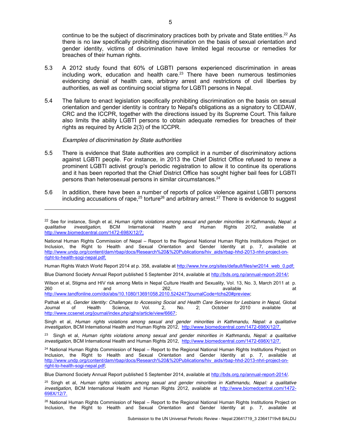continue to be the subject of discriminatory practices both by private and State entities.<sup>22</sup> As there is no law specifically prohibiting discrimination on the basis of sexual orientation and gender identity, victims of discrimination have limited legal recourse or remedies for breaches of their human rights.

- 5.3 A 2012 study found that 60% of LGBTI persons experienced discrimination in areas including work, education and health care. $23$  There have been numerous testimonies evidencing denial of health care, arbitrary arrest and restrictions of civil liberties by authorities, as well as continuing social stigma for LGBTI persons in Nepal.
- 5.4 The failure to enact legislation specifically prohibiting discrimination on the basis on sexual orientation and gender identity is contrary to Nepal's obligations as a signatory to CEDAW, CRC and the ICCPR, together with the directions issued by its Supreme Court. This failure also limits the ability LGBTI persons to obtain adequate remedies for breaches of their rights as required by Article 2(3) of the ICCPR.

#### *Examples of discrimination by State authorities*

 $\overline{a}$ 

- 5.5 There is evidence that State authorities are complicit in a number of discriminatory actions against LGBTI people. For instance, in 2013 the Chief District Office refused to renew a prominent LGBTI activist group's periodic registration to allow it to continue its operations and it has been reported that the Chief District Office has sought higher bail fees for LGBTI persons than heterosexual persons in similar circumstances.24
- 5.6 In addition, there have been a number of reports of police violence against LGBTI persons including accusations of rape,<sup>25</sup> torture<sup>26</sup> and arbitrary arrest.<sup>27</sup> There is evidence to suggest

Wilson et al, Stigma and HIV risk among Metis in Nepal Culture Health and Sexuality, Vol. 13, No. 3, March 2011 at p. 260 and 262, available at http://www.tandfonline.com/doi/abs/10.1080/13691058.2010.524247?journalCode=tchs20#preview;

Pathak et al, *Gender Identity: Challenges to Accessing Social and Health Care Services for Lesbians in Nepal,* Global Journal of Health Science, Vol. 2, No. 2; October 2010 available at http://www.ccsenet.org/journal/index.php/gjhs/article/view/6667;

<sup>&</sup>lt;sup>22</sup> See for instance, Singh et al, *Human rights violations among sexual and gender minorities in Kathmandu, Nepal: a <i>qualitative investigation*, BCM International Health and Human Rights 2012, available at *qualitative investigation,* BCM International Health and Human Rights 2012, available at http://www.biomedcentral.com/1472-698X/12/7;

National Human Rights Commission of Nepal – Report to the Regional National Human Rights Institutions Project on Inclusion, the Right to Health and Sexual Orientation and Gender Identity at p. 7, available at http://www.undp.org/content/dam/rbap/docs/Research%20&%20Publications/hiv\_aids/rbap-hhd-2013-nhri-project-onright-to-health-sogi-nepal.pdf;

Human Rights Watch World Report 2014 at p. 358, available at http://www.hrw.org/sites/default/files/wr2014\_web\_0.pdf;

Blue Diamond Society Annual Report published 5 September 2014, available at http://bds.org.np/annual-report-2014/;

Singh et al, *Human rights violations among sexual and gender minorities in Kathmandu, Nepal: a qualitative investigation*, BCM International Health and Human Rights 2012, http://www.biomedcentral.com/1472-698X/12/7.

<sup>23</sup> Singh et al, *Human rights violations among sexual and gender minorities in Kathmandu, Nepal: a qualitative investigation,* BCM International Health and Human Rights 2012, http://www.biomedcentral.com/1472-698X/12/7.

<sup>&</sup>lt;sup>24</sup> National Human Rights Commission of Nepal – Report to the Regional National Human Rights Institutions Project on Inclusion, the Right to Health and Sexual Orientation and Gender Identity at p. 7, available at http://www.undp.org/content/dam/rbap/docs/Research%20&%20Publications/hiv\_aids/rbap-hhd-2013-nhri-project-onright-to-health-sogi-nepal.pdf;

Blue Diamond Society Annual Report published 5 September 2014, available at http://bds.org.np/annual-report-2014/.

<sup>25</sup> Singh et al, *Human rights violations among sexual and gender minorities in Kathmandu, Nepal: a qualitative investigation,* BCM International Health and Human Rights 2012, available at http://www.biomedcentral.com/1472- 698X/12/7.

<sup>&</sup>lt;sup>26</sup> National Human Rights Commission of Nepal – Report to the Regional National Human Rights Institutions Project on Inclusion, the Right to Health and Sexual Orientation and Gender Identity at p. 7, available at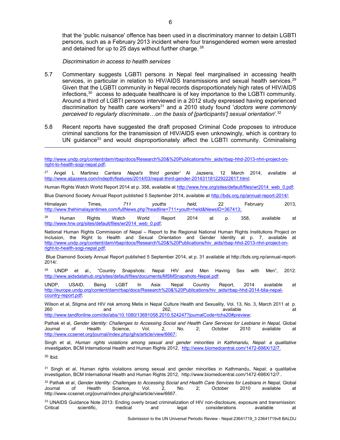that the 'public nuisance' offence has been used in a discriminatory manner to detain LGBTI persons, such as a February 2013 incident where four transgendered women were arrested and detained for up to 25 days without further charge. <sup>28</sup>

*Discrimination in access to health services*

- 5.7 Commentary suggests LGBTI persons in Nepal feel marginalised in accessing health services, in particular in relation to HIV/AIDS transmissions and sexual health services.<sup>29</sup> Given that the LGBTI community in Nepal records disproportionately high rates of HIV/AIDS infections, <sup>30</sup> access to adequate healthcare is of key importance to the LGBTI community. Around a third of LGBTI persons interviewed in a 2012 study expressed having experienced discrimination by health care workers<sup>31</sup> and a 2010 study found '*doctors were commonly perceived to regularly discriminate…on the basis of [participants'] sexual orientation*'.32
- 5.8 Recent reports have suggested the draft proposed Criminal Code proposes to introduce criminal sanctions for the transmission of HIV/AIDS even unknowingly, which is contrary to UN guidance<sup>33</sup> and would disproportionately affect the LGBTI community. Criminalising

Human Rights Watch World Report 2014 at p. 358, available at http://www.hrw.org/sites/default/files/wr2014\_web\_0.pdf;

Blue Diamond Society Annual Report published 5 September 2014, available at http://bds.org.np/annual-report-2014/;

Himalayan Times, *711 youths held*, 22 February 2013, http://www.thehimalayantimes.com/fullNews.php?headline=711+youth+held&NewsID=367413;

 $^{28}$  Human Rights Watch World Report 2014 at p. 358, available at http://www.hrw.org/sites/default/files/wr2014\_web\_0.pdf;

National Human Rights Commission of Nepal – Report to the Regional National Human Rights Institutions Project on Inclusion, the Right to Health and Sexual Orientation and Gender Identity at p. 7, available at http://www.undp.org/content/dam/rbap/docs/Research%20&%20Publications/hiv\_aids/rbap-hhd-2013-nhri-project-onright-to-health-sogi-nepal.pdf;

Blue Diamond Society Annual Report published 5 September 2014, at p. 31 available at http://bds.org.np/annual-report-2014/.

<sup>29</sup> UNDP et al., "Country Snapshots: Nepal HIV and Men Having Sex with Men", 2012: http://www.aidsdatahub.org/sites/default/files/documents/MSMSnapshots-Nepal.pdf;

UNDP, USAID, Being LGBT In Asia: Nepal Country Report, 2014 available at http://europe.undp.org/content/dam/rbap/docs/Research%20&%20Publications/hiv\_aids/rbap-hhd-2014-blia-nepalcountry-report.pdf;

Wilson et al, Stigma and HIV risk among Metis in Nepal Culture Health and Sexuality, Vol. 13, No. 3, March 2011 at p. 260 and 262, available at http://www.tandfonline.com/doi/abs/10.1080/13691058.2010.524247?journalCode=tchs20#preview;

Pathak et al, *Gender Identity: Challenges to Accessing Social and Health Care Services for Lesbians in Nepal,* Global Journal of Health Science, Vol. 2, No. 2; October 2010 available at http://www.ccsenet.org/journal/index.php/gihs/article/view/6667;

Singh et al, *Human rights violations among sexual and gender minorities in Kathmandu, Nepal: a qualitative investigation*, BCM International Health and Human Rights 2012, http://www.biomedcentral.com/1472-698X/12/7.

<sup>30</sup> Ibid.

 $\overline{a}$ 

31 Singh et al, Human rights violations among sexual and gender minorities in Kathmandu, Nepal: a qualitative investigation, BCM International Health and Human Rights 2012, http://www.biomedcentral.com/1472-698X/12/7..

<sup>32</sup> Pathak et al, *Gender Identity: Challenges to Accessing Social and Health Care Services for Lesbians in Nepal,* Global Journal of Health Science, Vol. 2, No. 2; October 2010 available at http://www.ccsenet.org/journal/index.php/gjhs/article/view/6667.

33 UNAIDS Guidance Note 2013: Ending overly broad criminalization of HIV non-disclosure, exposure and transmission: Critical scientific, medical and legal considerations available at

Submission to the UN Universal Periodic Review - Nepal:23641719\_3 23641719v8 BALDIJ

http://www.undp.org/content/dam/rbap/docs/Research%20&%20Publications/hiv\_aids/rbap-hhd-2013-nhri-project-onright-to-health-sogi-nepal.pdf;

<sup>27</sup> Angel L Martinez Cantera *Nepal's 'third gender'* Al Jazeera, 12 March 2014, available at http://www.aljazeera.com/indepth/features/2014/03/nepal-third-gender-201431181229222617.html;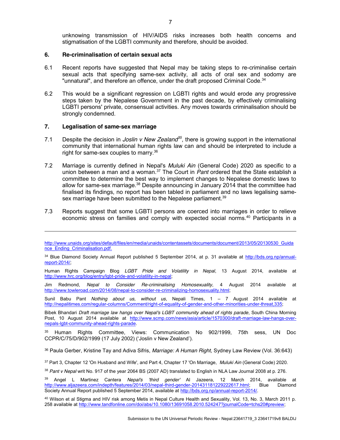unknowing transmission of HIV/AIDS risks increases both health concerns and stigmatisation of the LGBTI community and therefore, should be avoided.

#### **6. Re-criminalisation of certain sexual acts**

- 6.1 Recent reports have suggested that Nepal may be taking steps to re-criminalise certain sexual acts that specifying same-sex activity, all acts of oral sex and sodomy are "unnatural", and therefore an offence, under the draft proposed Criminal Code.<sup>34</sup>
- 6.2 This would be a significant regression on LGBTI rights and would erode any progressive steps taken by the Nepalese Government in the past decade, by effectively criminalising LGBTI persons' private, consensual activities. Any moves towards criminalisation should be strongly condemned.

## **7. Legalisation of same-sex marriage**

- 7.1 Despite the decision in *Joslin v New Zealand*<sup>35</sup>, there is growing support in the international community that international human rights law can and should be interpreted to include a right for same-sex couples to marry.36
- 7.2 Marriage is currently defined in Nepal's *Muluki Ain* (General Code) 2020 as specific to a union between a man and a woman.37 The Court in *Pant* ordered that the State establish a committee to determine the best way to implement changes to Nepalese domestic laws to allow for same-sex marriage.38 Despite announcing in January 2014 that the committee had finalised its findings, no report has been tabled in parliament and no laws legalising samesex marriage have been submitted to the Nepalese parliament.<sup>39</sup>
- 7.3 Reports suggest that some LGBTI persons are coerced into marriages in order to relieve economic stress on families and comply with expected social norms.<sup>40</sup> Participants in a

http://www.unaids.org/sites/default/files/en/media/unaids/contentassets/documents/document/2013/05/20130530\_Guida nce\_Ending\_Criminalisation.pdf.

<sup>34</sup> Blue Diamond Society Annual Report published 5 September 2014, at p. 31 available at http://bds.org.np/annualreport-2014/;

Human Rights Campaign Blog *LGBT Pride and Volatility in Nepal*, 13 August 2014, available at http://www.hrc.org/blog/entry/lgbt-pride-and-volatility-in-nepal;

Jim Redmond, *Nepal to Consider Re-criminalising Homosexuality*, 4 August 2014 available at http://www.towleroad.com/2014/08/nepal-to-consider-re-criminalizing-homosexuality.html;

Sunil Babu Pant *Nothing about us, without us*, Nepali Times, 1 – 7 August 2014 available at http://nepalitimes.com/regular-columns/Comment/right-of-equality-of-gender-and-other-minorities-under-threat,335;

Bibek Bhandari *Draft marriage law hangs over Nepal's LGBT community ahead of rights parade*, South China Morning Post, 10 August 2014 available at http://www.scmp.com/news/asia/article/1570300/draft-marriage-law-hangs-overnepals-lgbt-community-ahead-rights-parade.

<sup>35</sup> Human Rights Committee, Views: Communication No 902/1999, 75th sess, UN Doc CCPR/C/75/D/902/1999 (17 July 2002) ('Joslin v New Zealand').

<sup>36</sup> Paula Gerber, Kristine Tay and Adiva Sifris, *Marriage: A Human Right,* Sydney Law Review (Vol. 36:643)

<sup>37</sup> Part 3, Chapter 12 'On Husband and Wife', and Part 4, Chapter 17 'On Marriage, *Muluki Ain* (General Code) 2020.

<sup>38</sup> *Pant v Nepal* writ No. 917 of the year 2064 BS (2007 AD) translated to English in NLA Law Journal 2008 at p. 276.

<sup>39</sup> Angel L Martinez Cantera *Nepal's 'third gender'* Al Jazeera, 12 March 2014, available at http://www.aljazeera.com/indepth/features/2014/03/nepal-third-gender-201431181229222617.html; Blue Diamond Society Annual Report published 5 September 2014, available at http://bds.org.np/annual-report-2014/.

<sup>40</sup> Wilson et al Stigma and HIV risk among Metis in Nepal Culture Health and Sexuality, Vol. 13, No. 3, March 2011 p. 258 available at http://www.tandfonline.com/doi/abs/10.1080/13691058.2010.524247?journalCode=tchs20#preview;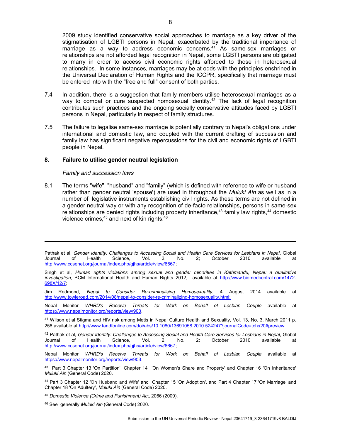2009 study identified conservative social approaches to marriage as a key driver of the stigmatisation of LGBTI persons in Nepal, exacerbated by the traditional importance of marriage as a way to address economic concerns. $41$  As same-sex marriages or relationships are not afforded legal recognition in Nepal, some LGBTI persons are obligated to marry in order to access civil economic rights afforded to those in heterosexual relationships. In some instances, marriages may be at odds with the principles enshrined in the Universal Declaration of Human Rights and the ICCPR, specifically that marriage must be entered into with the "free and full" consent of both parties.

- 7.4 In addition, there is a suggestion that family members utilise heterosexual marriages as a way to combat or cure suspected homosexual identity.<sup>42</sup> The lack of legal recognition contributes such practices and the ongoing socially conservative attitudes faced by LGBTI persons in Nepal, particularly in respect of family structures.
- 7.5 The failure to legalise same-sex marriage is potentially contrary to Nepal's obligations under international and domestic law, and coupled with the current drafting of succession and family law has significant negative repercussions for the civil and economic rights of LGBTI people in Nepal.

#### **8. Failure to utilise gender neutral legislation**

#### *Family and succession laws*

 $\overline{a}$ 

8.1 The terms "wife", "husband" and "family" (which is defined with reference to wife or husband rather than gender neutral 'spouse') are used in throughout the *Muluki Ain* as well as in a number of legislative instruments establishing civil rights. As these terms are not defined in a gender neutral way or with any recognition of de-facto relationships, persons in same-sex relationships are denied rights including property inheritance, $43$  family law rights, $44$  domestic violence crimes,<sup>45</sup> and next of kin rights.<sup>46</sup>

Pathak et al, *Gender Identity: Challenges to Accessing Social and Health Care Services for Lesbians in Nepal*, Global Journal of Health Science, Vol. 2, No. 2; October 2010 available at http://www.ccsenet.org/journal/index.php/gihs/article/view/6667;

Jim Redmond, *Nepal to Consider Re-criminalising Homosexuality*, 4 August 2014 available at http://www.towleroad.com/2014/08/nepal-to-consider-re-criminalizing-homosexuality.html;

Nepal Monitor *WHRD's Receive Threats for Work on Behalf of Lesbian Couple* available at https://www.nepalmonitor.org/reports/view/903.

<sup>41</sup> Wilson et al Stigma and HIV risk among Metis in Nepal Culture Health and Sexuality, Vol. 13, No. 3, March 2011 p. 258 available at http://www.tandfonline.com/doi/abs/10.1080/13691058.2010.524247?journalCode=tchs20#preview;

<sup>42</sup> Pathak et al, *Gender Identity: Challenges to Accessing Social and Health Care Services for Lesbians in Nepal*, Global Journal of Health Science, Vol. 2, No. 2; October 2010 available at http://www.ccsenet.org/journal/index.php/gjhs/article/view/6667;

Nepal Monitor *WHRD's Receive Threats for Work on Behalf of Lesbian Couple* available at https://www.nepalmonitor.org/reports/view/903.

43 Part 3 Chapter 13 'On Partition', Chapter 14 'On Women's Share and Property' and Chapter 16 'On Inheritance' *Muluki Ain* (General Code) 2020.

<sup>44</sup> Part 3 Chapter 12 'On Husband and Wife' and Chapter 15 'On Adoption', and Part 4 Chapter 17 'On Marriage' and Chapter 18 'On Adultery', *Muluki Ain* (General Code) 2020.

<sup>45</sup> *Domestic Violence (Crime and Punishment) Ac*t, 2066 (2009).

<sup>46</sup> See generally *Muluki Ain* (General Code) 2020.

Singh et al, *Human rights violations among sexual and gender minorities in Kathmandu, Nepal: a qualitative investigation,* BCM International Health and Human Rights 2012, available at http://www.biomedcentral.com/1472- 698X/12/7;